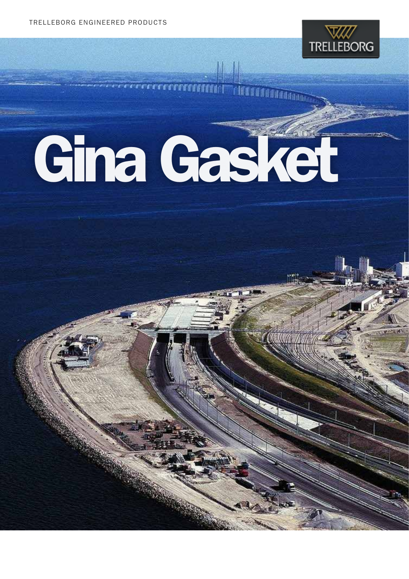

r irananan mana

# Gina Gasket

**COCCOONSCIOUS**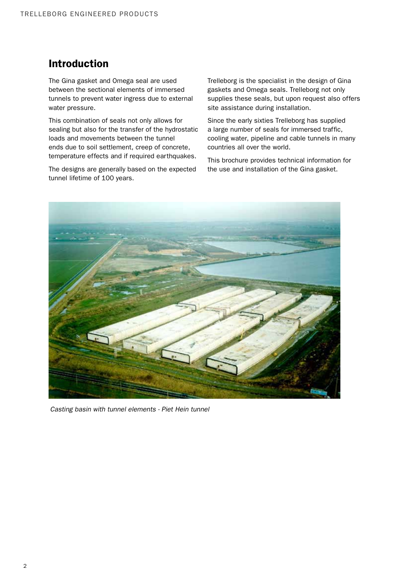# Introduction

The Gina gasket and Omega seal are used between the sectional elements of immersed tunnels to prevent water ingress due to external water pressure.

This combination of seals not only allows for sealing but also for the transfer of the hydrostatic loads and movements between the tunnel ends due to soil settlement, creep of concrete, temperature effects and if required earthquakes.

The designs are generally based on the expected tunnel lifetime of 100 years.

Trelleborg is the specialist in the design of Gina gaskets and Omega seals. Trelleborg not only supplies these seals, but upon request also offers site assistance during installation.

Since the early sixties Trelleborg has supplied a large number of seals for immersed traffic, cooling water, pipeline and cable tunnels in many countries all over the world.

This brochure provides technical information for the use and installation of the Gina gasket.



*Casting basin with tunnel elements - Piet Hein tunnel*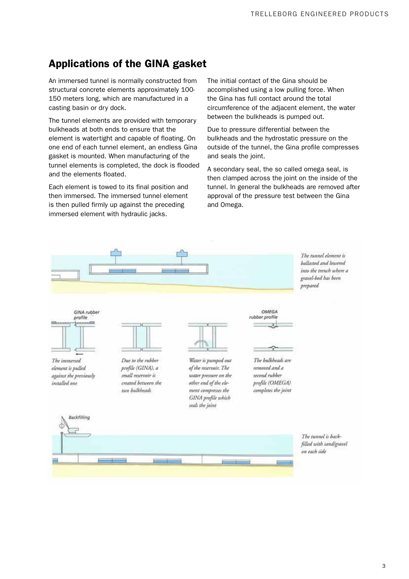# Applications of the GINA gasket

An immersed tunnel is normally constructed from structural concrete elements approximately 100- 150 meters long, which are manufactured in a casting basin or dry dock.

The tunnel elements are provided with temporary bulkheads at both ends to ensure that the element is watertight and capable of floating. On one end of each tunnel element, an endless Gina gasket is mounted. When manufacturing of the tunnel elements is completed, the dock is flooded and the elements floated.

Each element is towed to its final position and then immersed. The immersed tunnel element is then pulled firmly up against the preceding immersed element with hydraulic jacks.

The initial contact of the Gina should be accomplished using a low pulling force. When the Gina has full contact around the total circumference of the adjacent element, the water between the bulkheads is pumped out.

Due to pressure differential between the bulkheads and the hydrostatic pressure on the outside of the tunnel, the Gina profile compresses and seals the joint.

A secondary seal, the so called omega seal, is then clamped across the joint on the inside of the tunnel. In general the bulkheads are removed after approval of the pressure test between the Gina and Omega.

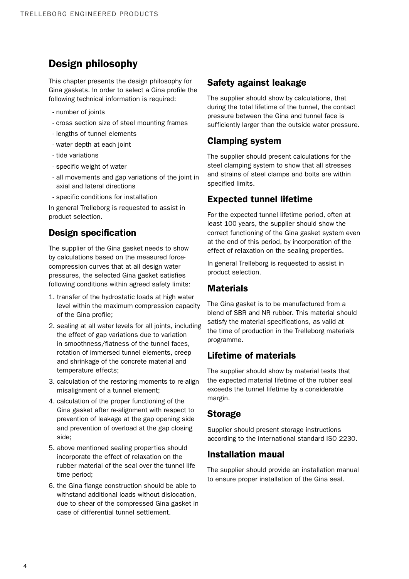# Design philosophy

This chapter presents the design philosophy for Gina gaskets. In order to select a Gina profile the following technical information is required:

- number of joints
- cross section size of steel mounting frames
- lengths of tunnel elements
- water depth at each joint
- tide variations
- specific weight of water
- all movements and gap variations of the joint in axial and lateral directions
- specific conditions for installation

In general Trelleborg is requested to assist in product selection.

## Design specification

The supplier of the Gina gasket needs to show by calculations based on the measured forcecompression curves that at all design water pressures, the selected Gina gasket satisfies following conditions within agreed safety limits:

- 1. transfer of the hydrostatic loads at high water level within the maximum compression capacity of the Gina profile;
- 2. sealing at all water levels for all joints, including the effect of gap variations due to variation in smoothness/flatness of the tunnel faces, rotation of immersed tunnel elements, creep and shrinkage of the concrete material and temperature effects;
- 3. calculation of the restoring moments to re-align misalignment of a tunnel element;
- 4. calculation of the proper functioning of the Gina gasket after re-alignment with respect to prevention of leakage at the gap opening side and prevention of overload at the gap closing side;
- 5. above mentioned sealing properties should incorporate the effect of relaxation on the rubber material of the seal over the tunnel life time period;
- 6. the Gina flange construction should be able to withstand additional loads without dislocation, due to shear of the compressed Gina gasket in case of differential tunnel settlement.

## Safety against leakage

The supplier should show by calculations, that during the total lifetime of the tunnel, the contact pressure between the Gina and tunnel face is sufficiently larger than the outside water pressure.

## Clamping system

The supplier should present calculations for the steel clamping system to show that all stresses and strains of steel clamps and bolts are within specified limits.

## Expected tunnel lifetime

For the expected tunnel lifetime period, often at least 100 years, the supplier should show the correct functioning of the Gina gasket system even at the end of this period, by incorporation of the effect of relaxation on the sealing properties.

In general Trelleborg is requested to assist in product selection.

## **Materials**

The Gina gasket is to be manufactured from a blend of SBR and NR rubber. This material should satisfy the material specifications, as valid at the time of production in the Trelleborg materials programme.

## Lifetime of materials

The supplier should show by material tests that the expected material lifetime of the rubber seal exceeds the tunnel lifetime by a considerable margin.

## Storage

Supplier should present storage instructions according to the international standard ISO 2230.

## Installation maual

The supplier should provide an installation manual to ensure proper installation of the Gina seal.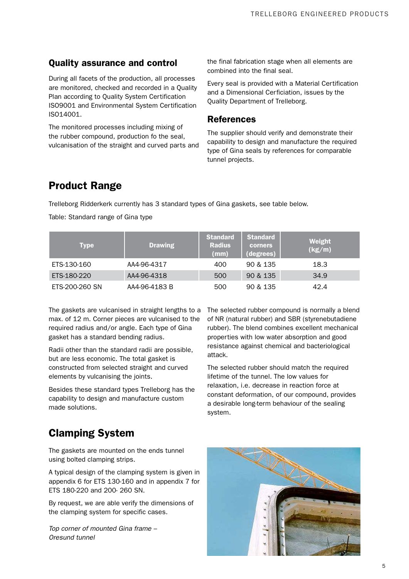## Quality assurance and control

During all facets of the production, all processes are monitored, checked and recorded in a Quality Plan according to Quality System Certification ISO9001 and Environmental System Certification ISO14001.

The monitored processes including mixing of the rubber compound, production fo the seal, vulcanisation of the straight and curved parts and the final fabrication stage when all elements are combined into the final seal.

Every seal is provided with a Material Certification and a Dimensional Cerficiation, issues by the Quality Department of Trelleborg.

#### **References**

The supplier should verify and demonstrate their capability to design and manufacture the required type of Gina seals by references for comparable tunnel projects.

## Product Range

Trelleborg Ridderkerk currently has 3 standard types of Gina gaskets, see table below.

Table: Standard range of Gina type

| <b>Type</b>    | <b>Drawing</b> | <b>Standard</b><br><b>Radius</b><br>(mm) | <b>Standard</b><br><b>corners</b><br>(degrees) | Weight<br>(kg/m) |
|----------------|----------------|------------------------------------------|------------------------------------------------|------------------|
| ETS-130-160    | AA4-96-4317    | 400                                      | 90 & 135                                       | 18.3             |
| ETS-180-220    | AA4-96-4318    | 500                                      | 90 & 135                                       | 34.9             |
| ETS-200-260 SN | AA4-96-4183 B  | 500                                      | 90 & 135                                       | 42.4             |

The gaskets are vulcanised in straight lengths to a max. of 12 m. Corner pieces are vulcanised to the required radius and/or angle. Each type of Gina gasket has a standard bending radius.

Radii other than the standard radii are possible, but are less economic. The total gasket is constructed from selected straight and curved elements by vulcanising the joints.

Besides these standard types Trelleborg has the capability to design and manufacture custom made solutions.

The selected rubber compound is normally a blend of NR (natural rubber) and SBR (styrenebutadiene rubber). The blend combines excellent mechanical properties with low water absorption and good resistance against chemical and bacteriological attack.

The selected rubber should match the required lifetime of the tunnel. The low values for relaxation, i.e. decrease in reaction force at constant deformation, of our compound, provides a desirable long-term behaviour of the sealing system.

# Clamping System

The gaskets are mounted on the ends tunnel using bolted clamping strips.

A typical design of the clamping system is given in appendix 6 for ETS 130-160 and in appendix 7 for ETS 180-220 and 200- 260 SN.

By request, we are able verify the dimensions of the clamping system for specific cases.

*Top corner of mounted Gina frame – Oresund tunnel*

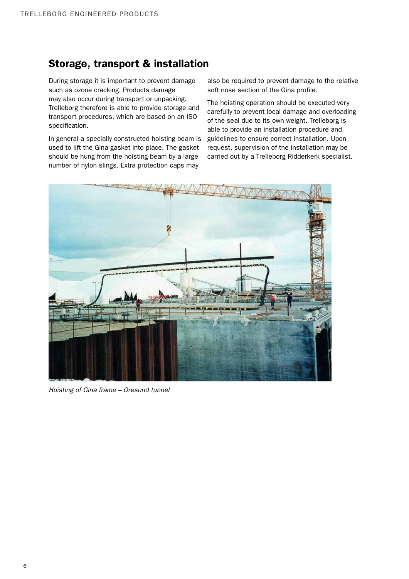## Storage, transport & installation

During storage it is important to prevent damage such as ozone cracking. Products damage may also occur during transport or unpacking. Trelleborg therefore is able to provide storage and transport procedures, which are based on an ISO specification.

In general a specially constructed hoisting beam is used to lift the Gina gasket into place. The gasket should be hung from the hoisting beam by a large number of nylon slings. Extra protection caps may

also be required to prevent damage to the relative soft nose section of the Gina profile.

The hoisting operation should be executed very carefully to prevent local damage and overloading of the seal due to its own weight. Trelleborg is able to provide an installation procedure and guidelines to ensure correct installation. Upon request, supervision of the installation may be carried out by a Trelleborg Ridderkerk specialist.



*Hoisting of Gina frame – Oresund tunnel*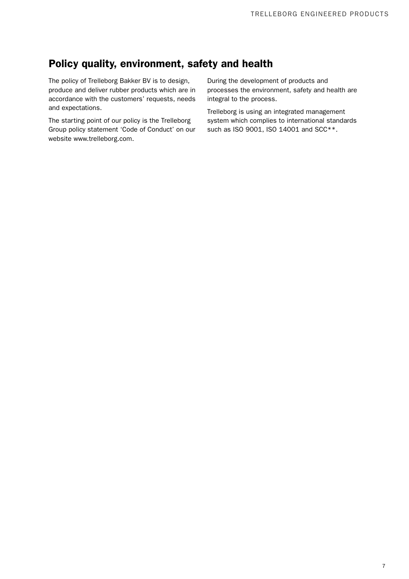## Policy quality, environment, safety and health

The policy of Trelleborg Bakker BV is to design, produce and deliver rubber products which are in accordance with the customers' requests, needs and expectations.

The starting point of our policy is the Trelleborg Group policy statement 'Code of Conduct' on our website www.trelleborg.com.

During the development of products and processes the environment, safety and health are integral to the process.

Trelleborg is using an integrated management system which complies to international standards such as ISO 9001, ISO 14001 and SCC\*\*.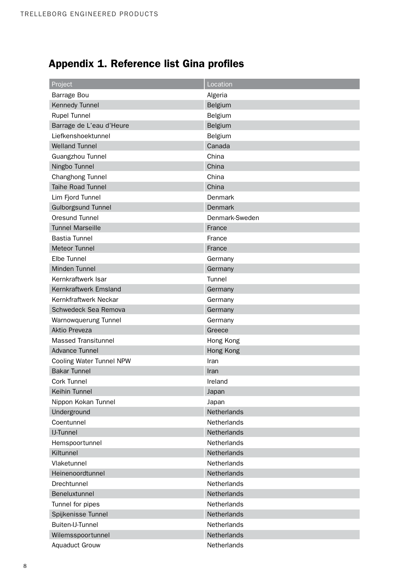# Appendix 1. Reference list Gina profiles

| Project                    | Location       |  |  |
|----------------------------|----------------|--|--|
| Barrage Bou                | Algeria        |  |  |
| Kennedy Tunnel             | Belgium        |  |  |
| <b>Rupel Tunnel</b>        | Belgium        |  |  |
| Barrage de L'eau d'Heure   | Belgium        |  |  |
| Liefkenshoektunnel         | Belgium        |  |  |
| <b>Welland Tunnel</b>      | Canada         |  |  |
| Guangzhou Tunnel           | China          |  |  |
| Ningbo Tunnel              | China          |  |  |
| Changhong Tunnel           | China          |  |  |
| <b>Taihe Road Tunnel</b>   | China          |  |  |
| Lim Fjord Tunnel           | Denmark        |  |  |
| <b>Gulborgsund Tunnel</b>  | <b>Denmark</b> |  |  |
| Oresund Tunnel             | Denmark-Sweden |  |  |
| <b>Tunnel Marseille</b>    | France         |  |  |
| <b>Bastia Tunnel</b>       | France         |  |  |
| <b>Meteor Tunnel</b>       | France         |  |  |
| Elbe Tunnel                | Germany        |  |  |
| Minden Tunnel              | Germany        |  |  |
| Kernkraftwerk Isar         | Tunnel         |  |  |
| Kernkraftwerk Emsland      | Germany        |  |  |
| Kernkfraftwerk Neckar      | Germany        |  |  |
| Schwedeck Sea Remova       | Germany        |  |  |
| Warnowquerung Tunnel       | Germany        |  |  |
| <b>Aktio Preveza</b>       | Greece         |  |  |
| <b>Massed Transitunnel</b> | Hong Kong      |  |  |
| <b>Advance Tunnel</b>      | Hong Kong      |  |  |
| Cooling Water Tunnel NPW   | Iran           |  |  |
| <b>Bakar Tunnel</b>        | Iran           |  |  |
| Cork Tunnel                | Ireland        |  |  |
| Keihin Tunnel              | Japan          |  |  |
| Nippon Kokan Tunnel        | Japan          |  |  |
| Underground                | Netherlands    |  |  |
| Coentunnel                 | Netherlands    |  |  |
| <b>IJ-Tunnel</b>           | Netherlands    |  |  |
| Hemspoortunnel             | Netherlands    |  |  |
| Kiltunnel                  | Netherlands    |  |  |
| Vlaketunnel                | Netherlands    |  |  |
| Heinenoordtunnel           | Netherlands    |  |  |
| Drechtunnel                | Netherlands    |  |  |
| Beneluxtunnel              | Netherlands    |  |  |
| Tunnel for pipes           | Netherlands    |  |  |
| Spijkenisse Tunnel         | Netherlands    |  |  |
| Buiten-IJ-Tunnel           | Netherlands    |  |  |
| Wilemsspoortunnel          | Netherlands    |  |  |
| <b>Aquaduct Grouw</b>      | Netherlands    |  |  |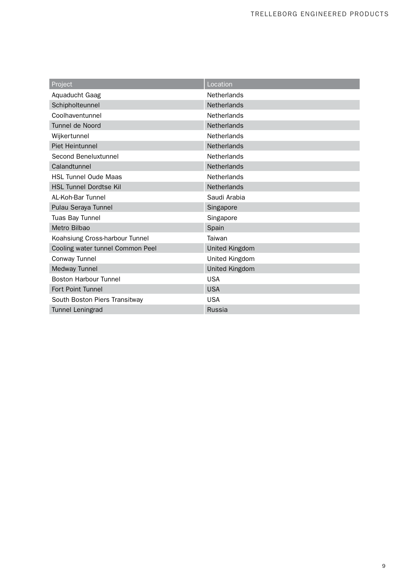| Project                          | Location           |  |  |
|----------------------------------|--------------------|--|--|
| Aquaducht Gaag                   | Netherlands        |  |  |
| Schipholteunnel                  | Netherlands        |  |  |
| Coolhaventunnel                  | <b>Netherlands</b> |  |  |
| Tunnel de Noord                  | Netherlands        |  |  |
| Wijkertunnel                     | <b>Netherlands</b> |  |  |
| <b>Piet Heintunnel</b>           | <b>Netherlands</b> |  |  |
| Second Beneluxtunnel             | <b>Netherlands</b> |  |  |
| Calandtunnel                     | <b>Netherlands</b> |  |  |
| <b>HSL Tunnel Oude Maas</b>      | <b>Netherlands</b> |  |  |
| <b>HSL Tunnel Dordtse Kil</b>    | <b>Netherlands</b> |  |  |
| AL-Koh-Bar Tunnel                | Saudi Arabia       |  |  |
| Pulau Seraya Tunnel              | Singapore          |  |  |
| Tuas Bay Tunnel                  | Singapore          |  |  |
| Metro Bilbao                     | Spain              |  |  |
| Koahsiung Cross-harbour Tunnel   | Taiwan             |  |  |
| Cooling water tunnel Common Peel | United Kingdom     |  |  |
| Conway Tunnel                    | United Kingdom     |  |  |
| Medway Tunnel                    | United Kingdom     |  |  |
| <b>Boston Harbour Tunnel</b>     | <b>USA</b>         |  |  |
| Fort Point Tunnel                | <b>USA</b>         |  |  |
| South Boston Piers Transitway    | <b>USA</b>         |  |  |
| Tunnel Leningrad                 | Russia             |  |  |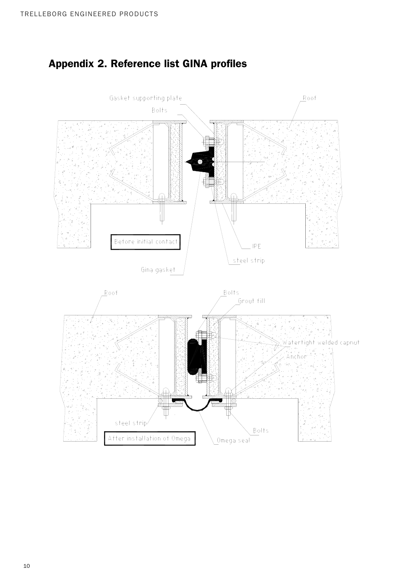

# Appendix 2. Reference list GINA profiles *Appendix 1. Gina gasket mounted to the tunnel end*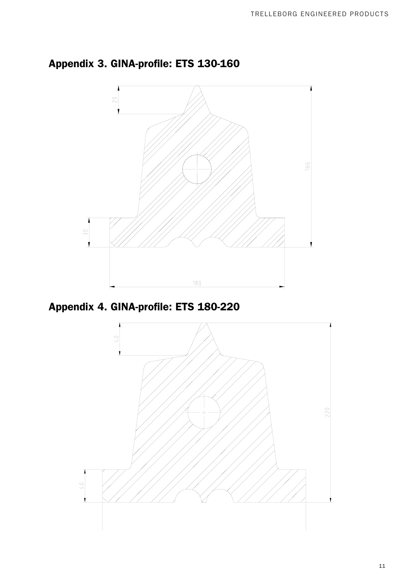



*Appendix 3. GINA-profile: ETS 180-220* Appendix 4. GINA-profile: ETS 180-220

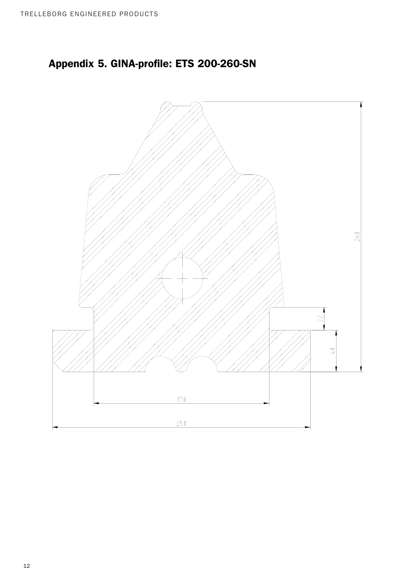# *Appendix 4. GINA-profile: ETS 200-260-SN* Appendix 5. GINA-profile: ETS 200-260-SN

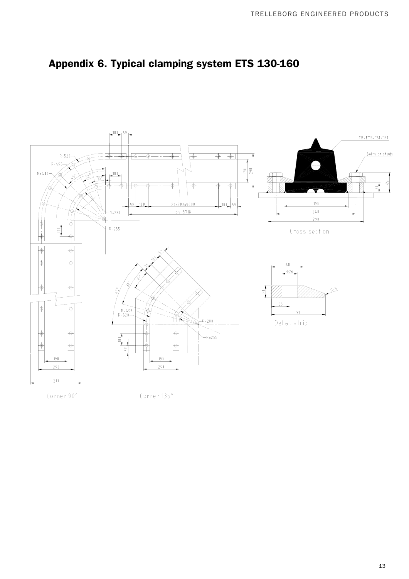

# *Appendix 5. Typical clamping system ETS 130-160* Appendix 6. Typical clamping system ETS 130-160



Corner 135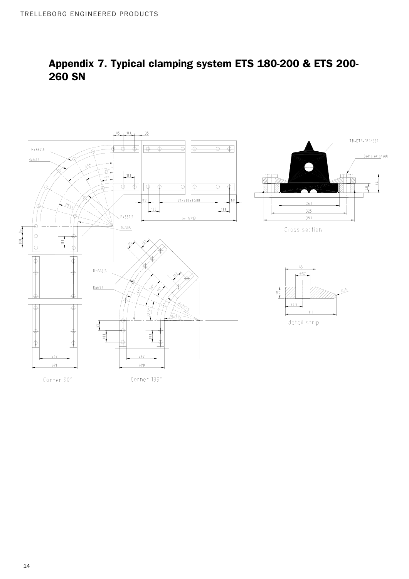

# *Appendix 6. Typical clamping system ETS 180-200 & ETS 200-260 SN* Appendix 7. Typical clamping system ETS 180-200 & ETS 200- 260 SN